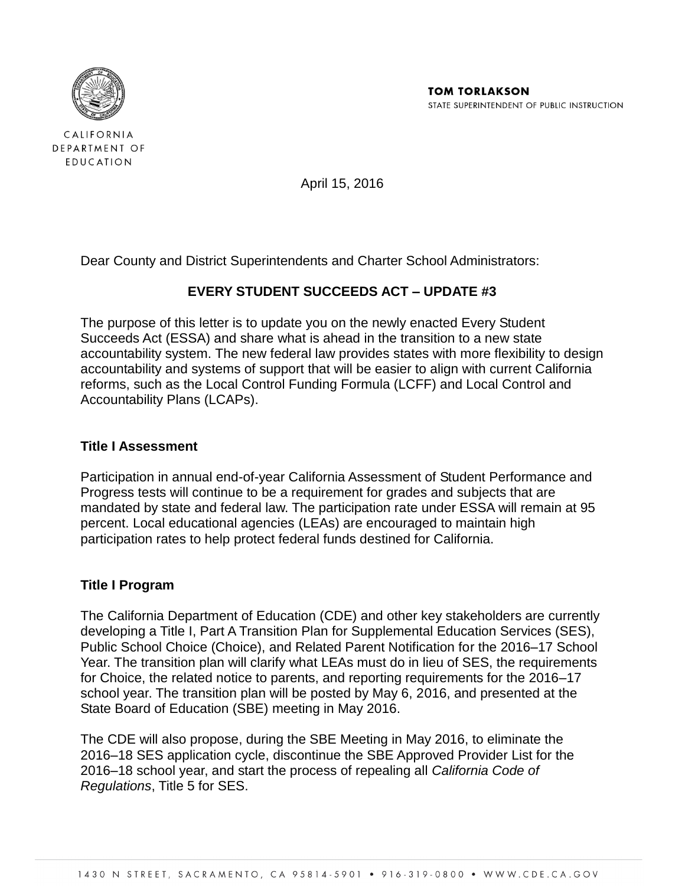

CALIFORNIA DEPARTMENT OF EDUCATION

April 15, 2016

Dear County and District Superintendents and Charter School Administrators:

## **EVERY STUDENT SUCCEEDS ACT – UPDATE #3**

The purpose of this letter is to update you on the newly enacted Every Student Succeeds Act (ESSA) and share what is ahead in the transition to a new state accountability system. The new federal law provides states with more flexibility to design accountability and systems of support that will be easier to align with current California reforms, such as the Local Control Funding Formula (LCFF) and Local Control and Accountability Plans (LCAPs).

### **Title I Assessment**

Participation in annual end-of-year California Assessment of Student Performance and Progress tests will continue to be a requirement for grades and subjects that are mandated by state and federal law. The participation rate under ESSA will remain at 95 percent. Local educational agencies (LEAs) are encouraged to maintain high participation rates to help protect federal funds destined for California.

### **Title I Program**

The California Department of Education (CDE) and other key stakeholders are currently developing a Title I, Part A Transition Plan for Supplemental Education Services (SES), Public School Choice (Choice), and Related Parent Notification for the 2016–17 School Year. The transition plan will clarify what LEAs must do in lieu of SES, the requirements for Choice, the related notice to parents, and reporting requirements for the 2016–17 school year. The transition plan will be posted by May 6, 2016, and presented at the State Board of Education (SBE) meeting in May 2016.

The CDE will also propose, during the SBE Meeting in May 2016, to eliminate the 2016–18 SES application cycle, discontinue the SBE Approved Provider List for the 2016–18 school year, and start the process of repealing all *California Code of Regulations*, Title 5 for SES.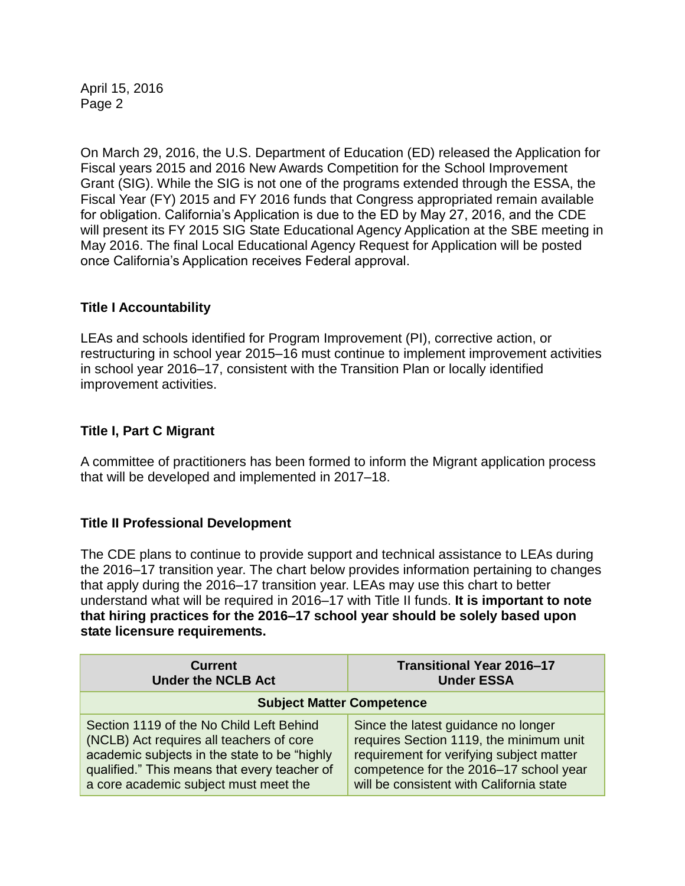On March 29, 2016, the U.S. Department of Education (ED) released the Application for Fiscal years 2015 and 2016 New Awards Competition for the School Improvement Grant (SIG). While the SIG is not one of the programs extended through the ESSA, the Fiscal Year (FY) 2015 and FY 2016 funds that Congress appropriated remain available for obligation. California's Application is due to the ED by May 27, 2016, and the CDE will present its FY 2015 SIG State Educational Agency Application at the SBE meeting in May 2016. The final Local Educational Agency Request for Application will be posted once California's Application receives Federal approval.

## **Title I Accountability**

LEAs and schools identified for Program Improvement (PI), corrective action, or restructuring in school year 2015–16 must continue to implement improvement activities in school year 2016–17, consistent with the Transition Plan or locally identified improvement activities.

## **Title I, Part C Migrant**

A committee of practitioners has been formed to inform the Migrant application process that will be developed and implemented in 2017–18.

### **Title II Professional Development**

The CDE plans to continue to provide support and technical assistance to LEAs during the 2016–17 transition year. The chart below provides information pertaining to changes that apply during the 2016–17 transition year. LEAs may use this chart to better understand what will be required in 2016–17 with Title II funds. **It is important to note that hiring practices for the 2016–17 school year should be solely based upon state licensure requirements.**

| <b>Current</b>                               | Transitional Year 2016-17                |  |
|----------------------------------------------|------------------------------------------|--|
| <b>Under the NCLB Act</b>                    | <b>Under ESSA</b>                        |  |
| <b>Subject Matter Competence</b>             |                                          |  |
| Section 1119 of the No Child Left Behind     | Since the latest guidance no longer      |  |
| (NCLB) Act requires all teachers of core     | requires Section 1119, the minimum unit  |  |
| academic subjects in the state to be "highly | requirement for verifying subject matter |  |
| qualified." This means that every teacher of | competence for the 2016-17 school year   |  |
| a core academic subject must meet the        | will be consistent with California state |  |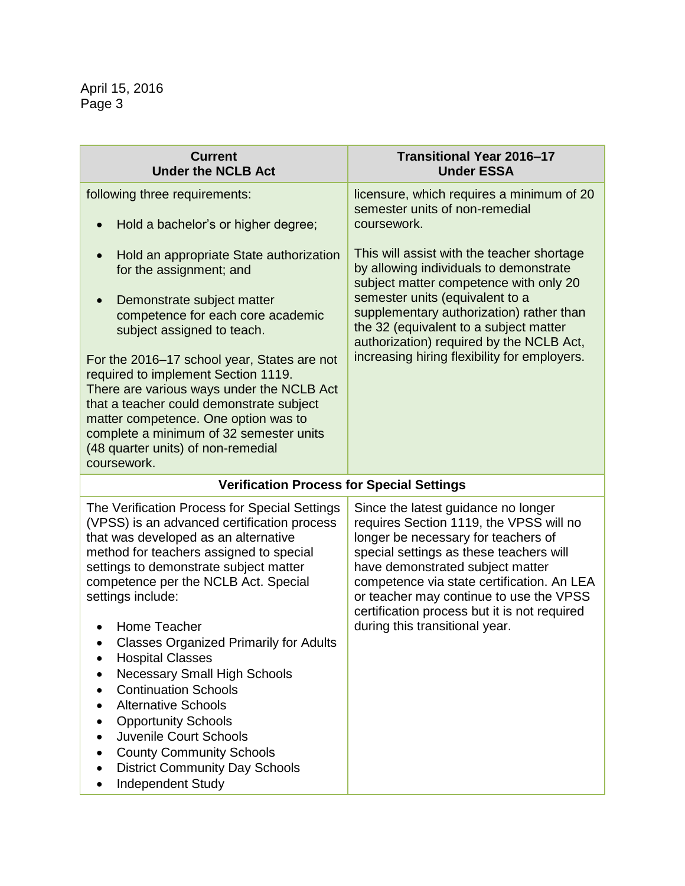| <b>Current</b><br><b>Under the NCLB Act</b>                                                                                                                                                                                                                                                                                                                                                                                                                                                                                                                                                                                                            | Transitional Year 2016-17<br><b>Under ESSA</b>                                                                                                                                                                                                                                                                                                                                  |  |
|--------------------------------------------------------------------------------------------------------------------------------------------------------------------------------------------------------------------------------------------------------------------------------------------------------------------------------------------------------------------------------------------------------------------------------------------------------------------------------------------------------------------------------------------------------------------------------------------------------------------------------------------------------|---------------------------------------------------------------------------------------------------------------------------------------------------------------------------------------------------------------------------------------------------------------------------------------------------------------------------------------------------------------------------------|--|
| following three requirements:<br>Hold a bachelor's or higher degree;                                                                                                                                                                                                                                                                                                                                                                                                                                                                                                                                                                                   | licensure, which requires a minimum of 20<br>semester units of non-remedial<br>coursework.                                                                                                                                                                                                                                                                                      |  |
| Hold an appropriate State authorization<br>$\bullet$<br>for the assignment; and<br>Demonstrate subject matter<br>$\bullet$<br>competence for each core academic<br>subject assigned to teach.<br>For the 2016–17 school year, States are not<br>required to implement Section 1119.<br>There are various ways under the NCLB Act<br>that a teacher could demonstrate subject<br>matter competence. One option was to<br>complete a minimum of 32 semester units<br>(48 quarter units) of non-remedial<br>coursework.                                                                                                                                   | This will assist with the teacher shortage<br>by allowing individuals to demonstrate<br>subject matter competence with only 20<br>semester units (equivalent to a<br>supplementary authorization) rather than<br>the 32 (equivalent to a subject matter<br>authorization) required by the NCLB Act,<br>increasing hiring flexibility for employers.                             |  |
| <b>Verification Process for Special Settings</b>                                                                                                                                                                                                                                                                                                                                                                                                                                                                                                                                                                                                       |                                                                                                                                                                                                                                                                                                                                                                                 |  |
| The Verification Process for Special Settings<br>(VPSS) is an advanced certification process<br>that was developed as an alternative<br>method for teachers assigned to special<br>settings to demonstrate subject matter<br>competence per the NCLB Act. Special<br>settings include:<br>Home Teacher<br><b>Classes Organized Primarily for Adults</b><br><b>Hospital Classes</b><br><b>Necessary Small High Schools</b><br><b>Continuation Schools</b><br><b>Alternative Schools</b><br><b>Opportunity Schools</b><br>Juvenile Court Schools<br><b>County Community Schools</b><br><b>District Community Day Schools</b><br><b>Independent Study</b> | Since the latest guidance no longer<br>requires Section 1119, the VPSS will no<br>longer be necessary for teachers of<br>special settings as these teachers will<br>have demonstrated subject matter<br>competence via state certification. An LEA<br>or teacher may continue to use the VPSS<br>certification process but it is not required<br>during this transitional year. |  |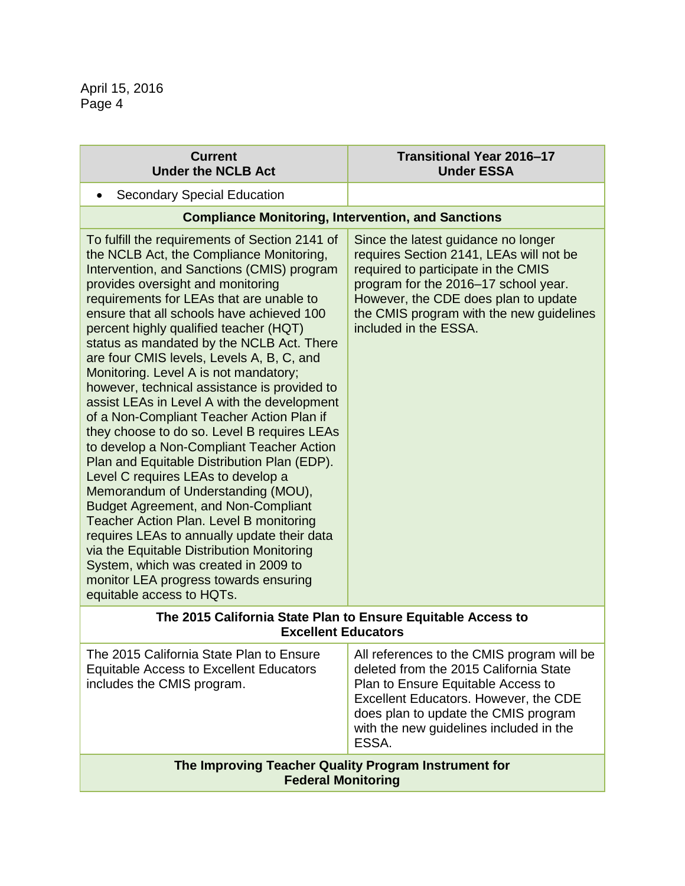| <b>Current</b><br><b>Under the NCLB Act</b>                                                                                                                                                                                                                                                                                                                                                                                                                                                                                                                                                                                                                                                                                                                                                                                                                                                                                                                                                                                                                                                                                      | Transitional Year 2016-17<br><b>Under ESSA</b>                                                                                                                                                                                                                             |  |
|----------------------------------------------------------------------------------------------------------------------------------------------------------------------------------------------------------------------------------------------------------------------------------------------------------------------------------------------------------------------------------------------------------------------------------------------------------------------------------------------------------------------------------------------------------------------------------------------------------------------------------------------------------------------------------------------------------------------------------------------------------------------------------------------------------------------------------------------------------------------------------------------------------------------------------------------------------------------------------------------------------------------------------------------------------------------------------------------------------------------------------|----------------------------------------------------------------------------------------------------------------------------------------------------------------------------------------------------------------------------------------------------------------------------|--|
| <b>Secondary Special Education</b>                                                                                                                                                                                                                                                                                                                                                                                                                                                                                                                                                                                                                                                                                                                                                                                                                                                                                                                                                                                                                                                                                               |                                                                                                                                                                                                                                                                            |  |
| <b>Compliance Monitoring, Intervention, and Sanctions</b>                                                                                                                                                                                                                                                                                                                                                                                                                                                                                                                                                                                                                                                                                                                                                                                                                                                                                                                                                                                                                                                                        |                                                                                                                                                                                                                                                                            |  |
| To fulfill the requirements of Section 2141 of<br>the NCLB Act, the Compliance Monitoring,<br>Intervention, and Sanctions (CMIS) program<br>provides oversight and monitoring<br>requirements for LEAs that are unable to<br>ensure that all schools have achieved 100<br>percent highly qualified teacher (HQT)<br>status as mandated by the NCLB Act. There<br>are four CMIS levels, Levels A, B, C, and<br>Monitoring. Level A is not mandatory;<br>however, technical assistance is provided to<br>assist LEAs in Level A with the development<br>of a Non-Compliant Teacher Action Plan if<br>they choose to do so. Level B requires LEAs<br>to develop a Non-Compliant Teacher Action<br>Plan and Equitable Distribution Plan (EDP).<br>Level C requires LEAs to develop a<br>Memorandum of Understanding (MOU),<br><b>Budget Agreement, and Non-Compliant</b><br><b>Teacher Action Plan. Level B monitoring</b><br>requires LEAs to annually update their data<br>via the Equitable Distribution Monitoring<br>System, which was created in 2009 to<br>monitor LEA progress towards ensuring<br>equitable access to HQTs. | Since the latest guidance no longer<br>requires Section 2141, LEAs will not be<br>required to participate in the CMIS<br>program for the 2016-17 school year.<br>However, the CDE does plan to update<br>the CMIS program with the new guidelines<br>included in the ESSA. |  |
| The 2015 California State Plan to Ensure Equitable Access to<br><b>Excellent Educators</b>                                                                                                                                                                                                                                                                                                                                                                                                                                                                                                                                                                                                                                                                                                                                                                                                                                                                                                                                                                                                                                       |                                                                                                                                                                                                                                                                            |  |
| The 2015 California State Plan to Ensure<br><b>Equitable Access to Excellent Educators</b><br>includes the CMIS program.                                                                                                                                                                                                                                                                                                                                                                                                                                                                                                                                                                                                                                                                                                                                                                                                                                                                                                                                                                                                         | All references to the CMIS program will be<br>deleted from the 2015 California State<br>Plan to Ensure Equitable Access to<br>Excellent Educators. However, the CDE<br>does plan to update the CMIS program<br>with the new guidelines included in the<br>ESSA.            |  |
| The Improving Teacher Quality Program Instrument for<br><b>Federal Monitoring</b>                                                                                                                                                                                                                                                                                                                                                                                                                                                                                                                                                                                                                                                                                                                                                                                                                                                                                                                                                                                                                                                |                                                                                                                                                                                                                                                                            |  |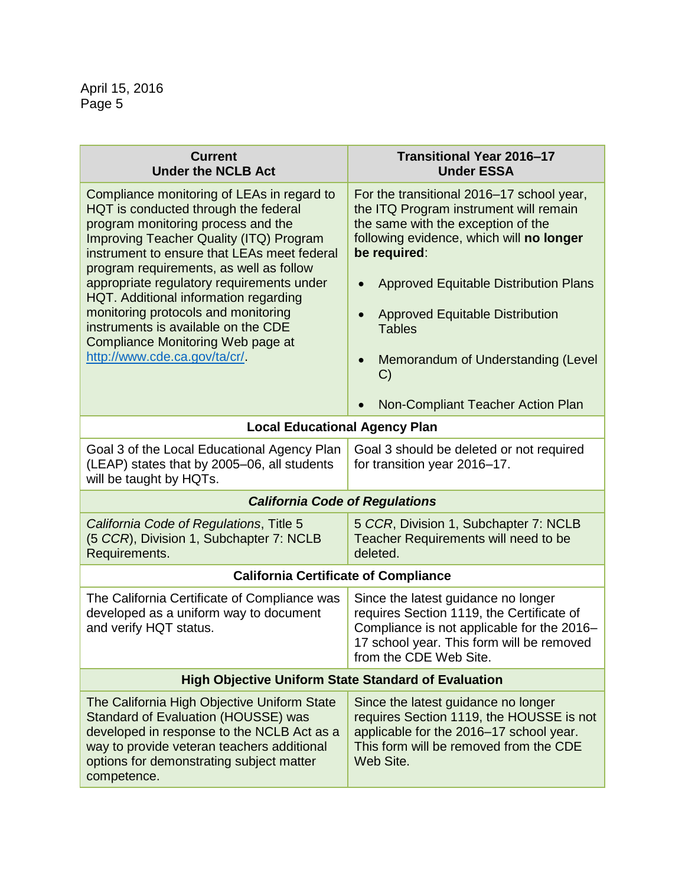| <b>Current</b><br><b>Under the NCLB Act</b>                                                                                                                                                                                                                                                                                                                                                                                                                                                                   | Transitional Year 2016-17<br><b>Under ESSA</b>                                                                                                                                                                                                                                                                                                                                                            |  |
|---------------------------------------------------------------------------------------------------------------------------------------------------------------------------------------------------------------------------------------------------------------------------------------------------------------------------------------------------------------------------------------------------------------------------------------------------------------------------------------------------------------|-----------------------------------------------------------------------------------------------------------------------------------------------------------------------------------------------------------------------------------------------------------------------------------------------------------------------------------------------------------------------------------------------------------|--|
| Compliance monitoring of LEAs in regard to<br>HQT is conducted through the federal<br>program monitoring process and the<br><b>Improving Teacher Quality (ITQ) Program</b><br>instrument to ensure that LEAs meet federal<br>program requirements, as well as follow<br>appropriate regulatory requirements under<br>HQT. Additional information regarding<br>monitoring protocols and monitoring<br>instruments is available on the CDE<br>Compliance Monitoring Web page at<br>http://www.cde.ca.gov/ta/cr/ | For the transitional 2016–17 school year,<br>the ITQ Program instrument will remain<br>the same with the exception of the<br>following evidence, which will no longer<br>be required:<br><b>Approved Equitable Distribution Plans</b><br><b>Approved Equitable Distribution</b><br><b>Tables</b><br>Memorandum of Understanding (Level<br>$\bullet$<br>$\mathcal{C}$<br>Non-Compliant Teacher Action Plan |  |
| <b>Local Educational Agency Plan</b>                                                                                                                                                                                                                                                                                                                                                                                                                                                                          |                                                                                                                                                                                                                                                                                                                                                                                                           |  |
| Goal 3 of the Local Educational Agency Plan<br>(LEAP) states that by 2005-06, all students<br>will be taught by HQTs.                                                                                                                                                                                                                                                                                                                                                                                         | Goal 3 should be deleted or not required<br>for transition year 2016-17.                                                                                                                                                                                                                                                                                                                                  |  |
| <b>California Code of Regulations</b>                                                                                                                                                                                                                                                                                                                                                                                                                                                                         |                                                                                                                                                                                                                                                                                                                                                                                                           |  |
| California Code of Regulations, Title 5<br>(5 CCR), Division 1, Subchapter 7: NCLB<br>Requirements.                                                                                                                                                                                                                                                                                                                                                                                                           | 5 CCR, Division 1, Subchapter 7: NCLB<br>Teacher Requirements will need to be<br>deleted.                                                                                                                                                                                                                                                                                                                 |  |
| <b>California Certificate of Compliance</b>                                                                                                                                                                                                                                                                                                                                                                                                                                                                   |                                                                                                                                                                                                                                                                                                                                                                                                           |  |
| The California Certificate of Compliance was<br>developed as a uniform way to document<br>and verify HQT status.                                                                                                                                                                                                                                                                                                                                                                                              | Since the latest guidance no longer<br>requires Section 1119, the Certificate of<br>Compliance is not applicable for the 2016-<br>17 school year. This form will be removed<br>from the CDE Web Site.                                                                                                                                                                                                     |  |
| <b>High Objective Uniform State Standard of Evaluation</b>                                                                                                                                                                                                                                                                                                                                                                                                                                                    |                                                                                                                                                                                                                                                                                                                                                                                                           |  |
| The California High Objective Uniform State<br>Standard of Evaluation (HOUSSE) was<br>developed in response to the NCLB Act as a<br>way to provide veteran teachers additional<br>options for demonstrating subject matter<br>competence.                                                                                                                                                                                                                                                                     | Since the latest guidance no longer<br>requires Section 1119, the HOUSSE is not<br>applicable for the 2016-17 school year.<br>This form will be removed from the CDE<br>Web Site.                                                                                                                                                                                                                         |  |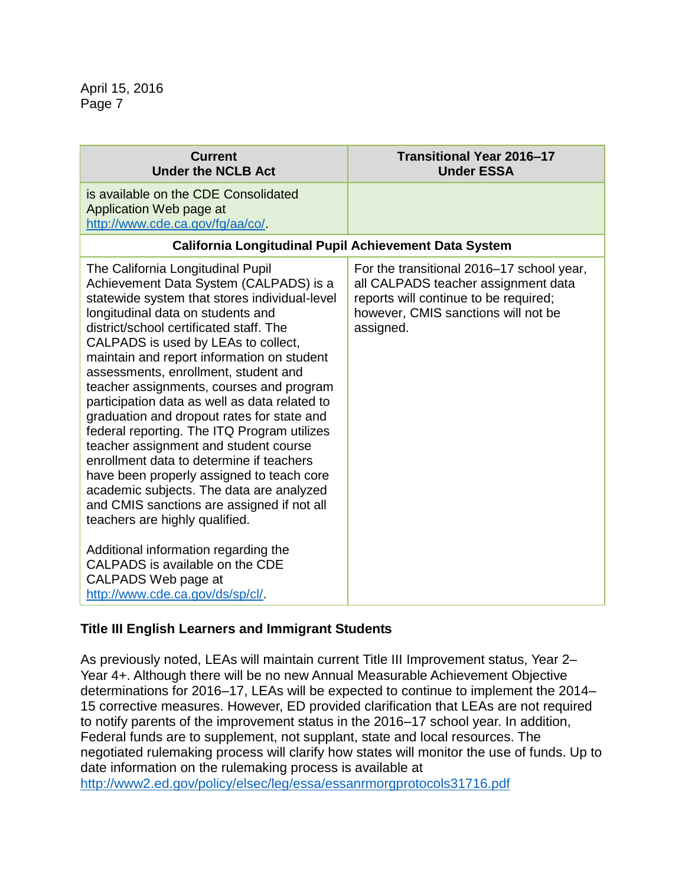| <b>Current</b><br><b>Under the NCLB Act</b>                                                                                                                                                                                                                                                                                                                                                                                                                                                                                                                                                                                                                                                                                                                                                                                                                                                                                             | Transitional Year 2016-17<br><b>Under ESSA</b>                                                                                                                                |  |
|-----------------------------------------------------------------------------------------------------------------------------------------------------------------------------------------------------------------------------------------------------------------------------------------------------------------------------------------------------------------------------------------------------------------------------------------------------------------------------------------------------------------------------------------------------------------------------------------------------------------------------------------------------------------------------------------------------------------------------------------------------------------------------------------------------------------------------------------------------------------------------------------------------------------------------------------|-------------------------------------------------------------------------------------------------------------------------------------------------------------------------------|--|
| is available on the CDE Consolidated<br>Application Web page at<br>http://www.cde.ca.gov/fg/aa/co/.                                                                                                                                                                                                                                                                                                                                                                                                                                                                                                                                                                                                                                                                                                                                                                                                                                     |                                                                                                                                                                               |  |
| California Longitudinal Pupil Achievement Data System                                                                                                                                                                                                                                                                                                                                                                                                                                                                                                                                                                                                                                                                                                                                                                                                                                                                                   |                                                                                                                                                                               |  |
| The California Longitudinal Pupil<br>Achievement Data System (CALPADS) is a<br>statewide system that stores individual-level<br>longitudinal data on students and<br>district/school certificated staff. The<br>CALPADS is used by LEAs to collect,<br>maintain and report information on student<br>assessments, enrollment, student and<br>teacher assignments, courses and program<br>participation data as well as data related to<br>graduation and dropout rates for state and<br>federal reporting. The ITQ Program utilizes<br>teacher assignment and student course<br>enrollment data to determine if teachers<br>have been properly assigned to teach core<br>academic subjects. The data are analyzed<br>and CMIS sanctions are assigned if not all<br>teachers are highly qualified.<br>Additional information regarding the<br>CALPADS is available on the CDE<br>CALPADS Web page at<br>http://www.cde.ca.gov/ds/sp/cl/. | For the transitional 2016-17 school year,<br>all CALPADS teacher assignment data<br>reports will continue to be required;<br>however, CMIS sanctions will not be<br>assigned. |  |

# **Title III English Learners and Immigrant Students**

As previously noted, LEAs will maintain current Title III Improvement status, Year 2– Year 4+. Although there will be no new Annual Measurable Achievement Objective determinations for 2016–17, LEAs will be expected to continue to implement the 2014– 15 corrective measures. However, ED provided clarification that LEAs are not required to notify parents of the improvement status in the 2016–17 school year. In addition, Federal funds are to supplement, not supplant, state and local resources. The negotiated rulemaking process will clarify how states will monitor the use of funds. Up to date information on the rulemaking process is available at <http://www2.ed.gov/policy/elsec/leg/essa/essanrmorgprotocols31716.pdf>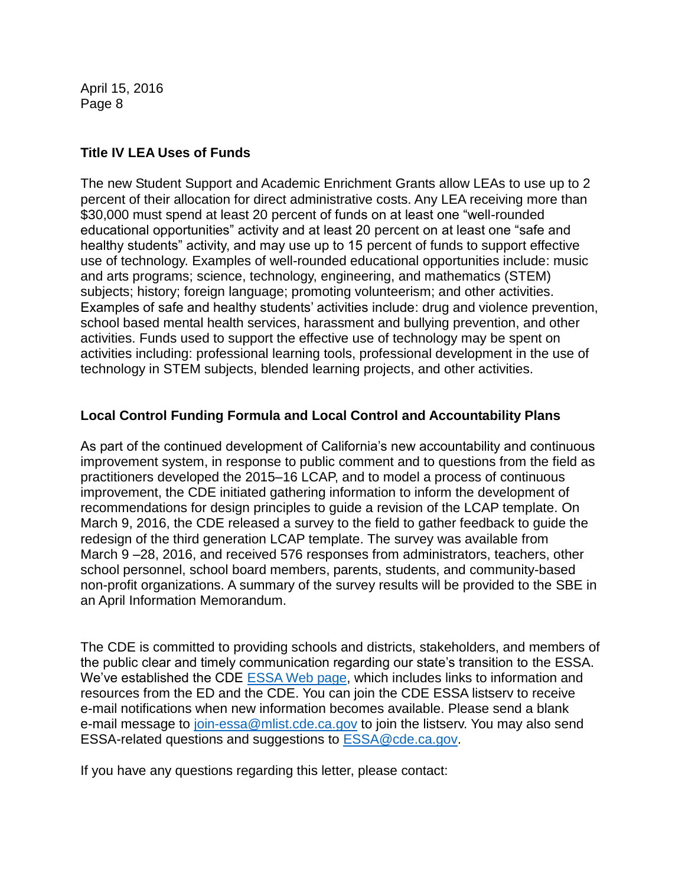## **Title IV LEA Uses of Funds**

The new Student Support and Academic Enrichment Grants allow LEAs to use up to 2 percent of their allocation for direct administrative costs. Any LEA receiving more than \$30,000 must spend at least 20 percent of funds on at least one "well-rounded educational opportunities" activity and at least 20 percent on at least one "safe and healthy students" activity, and may use up to 15 percent of funds to support effective use of technology. Examples of well-rounded educational opportunities include: music and arts programs; science, technology, engineering, and mathematics (STEM) subjects; history; foreign language; promoting volunteerism; and other activities. Examples of safe and healthy students' activities include: drug and violence prevention, school based mental health services, harassment and bullying prevention, and other activities. Funds used to support the effective use of technology may be spent on activities including: professional learning tools, professional development in the use of technology in STEM subjects, blended learning projects, and other activities.

## **Local Control Funding Formula and Local Control and Accountability Plans**

As part of the continued development of California's new accountability and continuous improvement system, in response to public comment and to questions from the field as practitioners developed the 2015–16 LCAP, and to model a process of continuous improvement, the CDE initiated gathering information to inform the development of recommendations for design principles to guide a revision of the LCAP template. On March 9, 2016, the CDE released a survey to the field to gather feedback to guide the redesign of the third generation LCAP template. The survey was available from March 9 –28, 2016, and received 576 responses from administrators, teachers, other school personnel, school board members, parents, students, and community-based non-profit organizations. A summary of the survey results will be provided to the SBE in an April Information Memorandum.

The CDE is committed to providing schools and districts, stakeholders, and members of the public clear and timely communication regarding our state's transition to the ESSA. We've established the CDE [ESSA Web page,](http://www.cde.ca.gov/re/es/) which includes links to information and resources from the ED and the CDE. You can join the CDE ESSA listserv to receive e-mail notifications when new information becomes available. Please send a blank e-mail message to [join-essa@mlist.cde.ca.gov](mailto:join-essa@mlist.cde.ca.gov) to join the listsery. You may also send ESSA-related questions and suggestions to [ESSA@cde.ca.gov.](mailto:ESSA@cde.ca.gov)

If you have any questions regarding this letter, please contact: